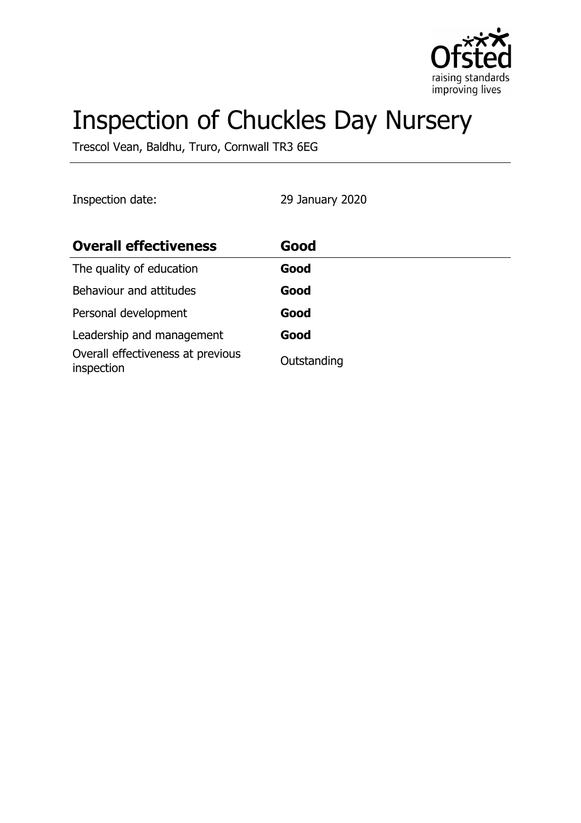

# Inspection of Chuckles Day Nursery

Trescol Vean, Baldhu, Truro, Cornwall TR3 6EG

Inspection date: 29 January 2020

| <b>Overall effectiveness</b>                    | Good        |
|-------------------------------------------------|-------------|
| The quality of education                        | Good        |
| Behaviour and attitudes                         | Good        |
| Personal development                            | Good        |
| Leadership and management                       | Good        |
| Overall effectiveness at previous<br>inspection | Outstanding |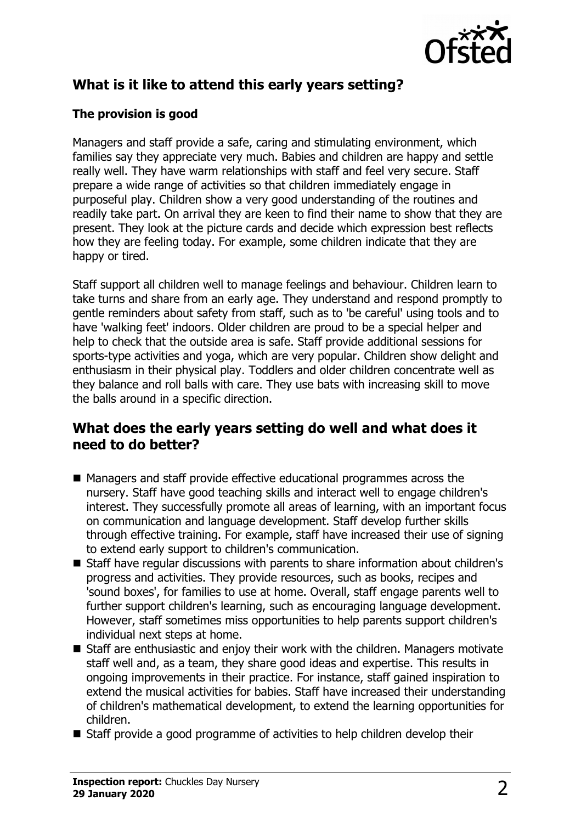

# **What is it like to attend this early years setting?**

## **The provision is good**

Managers and staff provide a safe, caring and stimulating environment, which families say they appreciate very much. Babies and children are happy and settle really well. They have warm relationships with staff and feel very secure. Staff prepare a wide range of activities so that children immediately engage in purposeful play. Children show a very good understanding of the routines and readily take part. On arrival they are keen to find their name to show that they are present. They look at the picture cards and decide which expression best reflects how they are feeling today. For example, some children indicate that they are happy or tired.

Staff support all children well to manage feelings and behaviour. Children learn to take turns and share from an early age. They understand and respond promptly to gentle reminders about safety from staff, such as to 'be careful' using tools and to have 'walking feet' indoors. Older children are proud to be a special helper and help to check that the outside area is safe. Staff provide additional sessions for sports-type activities and yoga, which are very popular. Children show delight and enthusiasm in their physical play. Toddlers and older children concentrate well as they balance and roll balls with care. They use bats with increasing skill to move the balls around in a specific direction.

## **What does the early years setting do well and what does it need to do better?**

- $\blacksquare$  Managers and staff provide effective educational programmes across the nursery. Staff have good teaching skills and interact well to engage children's interest. They successfully promote all areas of learning, with an important focus on communication and language development. Staff develop further skills through effective training. For example, staff have increased their use of signing to extend early support to children's communication.
- Staff have regular discussions with parents to share information about children's progress and activities. They provide resources, such as books, recipes and 'sound boxes', for families to use at home. Overall, staff engage parents well to further support children's learning, such as encouraging language development. However, staff sometimes miss opportunities to help parents support children's individual next steps at home.
- Staff are enthusiastic and enjoy their work with the children. Managers motivate staff well and, as a team, they share good ideas and expertise. This results in ongoing improvements in their practice. For instance, staff gained inspiration to extend the musical activities for babies. Staff have increased their understanding of children's mathematical development, to extend the learning opportunities for children.
- $\blacksquare$  Staff provide a good programme of activities to help children develop their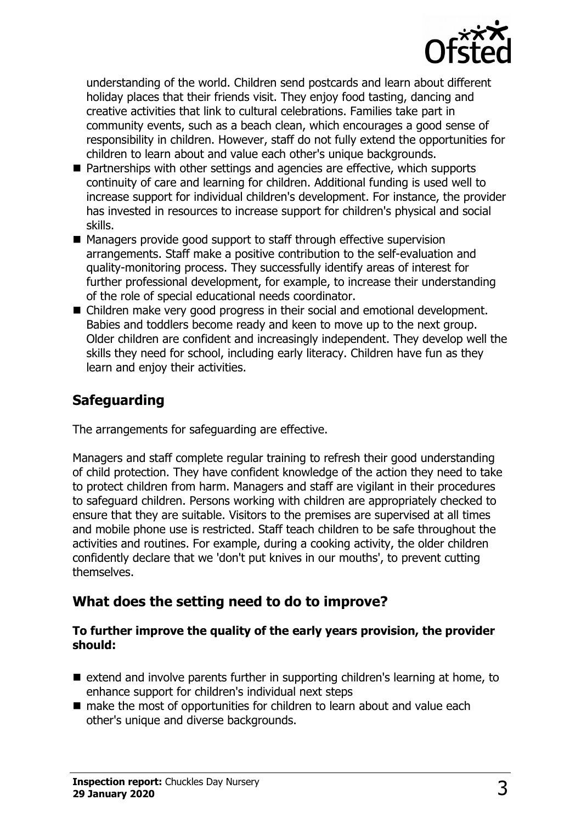

understanding of the world. Children send postcards and learn about different holiday places that their friends visit. They enjoy food tasting, dancing and creative activities that link to cultural celebrations. Families take part in community events, such as a beach clean, which encourages a good sense of responsibility in children. However, staff do not fully extend the opportunities for children to learn about and value each other's unique backgrounds.

- $\blacksquare$  Partnerships with other settings and agencies are effective, which supports continuity of care and learning for children. Additional funding is used well to increase support for individual children's development. For instance, the provider has invested in resources to increase support for children's physical and social skills.
- Managers provide good support to staff through effective supervision arrangements. Staff make a positive contribution to the self-evaluation and quality-monitoring process. They successfully identify areas of interest for further professional development, for example, to increase their understanding of the role of special educational needs coordinator.
- Children make very good progress in their social and emotional development. Babies and toddlers become ready and keen to move up to the next group. Older children are confident and increasingly independent. They develop well the skills they need for school, including early literacy. Children have fun as they learn and enjoy their activities.

## **Safeguarding**

The arrangements for safeguarding are effective.

Managers and staff complete regular training to refresh their good understanding of child protection. They have confident knowledge of the action they need to take to protect children from harm. Managers and staff are vigilant in their procedures to safeguard children. Persons working with children are appropriately checked to ensure that they are suitable. Visitors to the premises are supervised at all times and mobile phone use is restricted. Staff teach children to be safe throughout the activities and routines. For example, during a cooking activity, the older children confidently declare that we 'don't put knives in our mouths', to prevent cutting themselves.

## **What does the setting need to do to improve?**

#### **To further improve the quality of the early years provision, the provider should:**

- $\blacksquare$  extend and involve parents further in supporting children's learning at home, to enhance support for children's individual next steps
- $\blacksquare$  make the most of opportunities for children to learn about and value each other's unique and diverse backgrounds.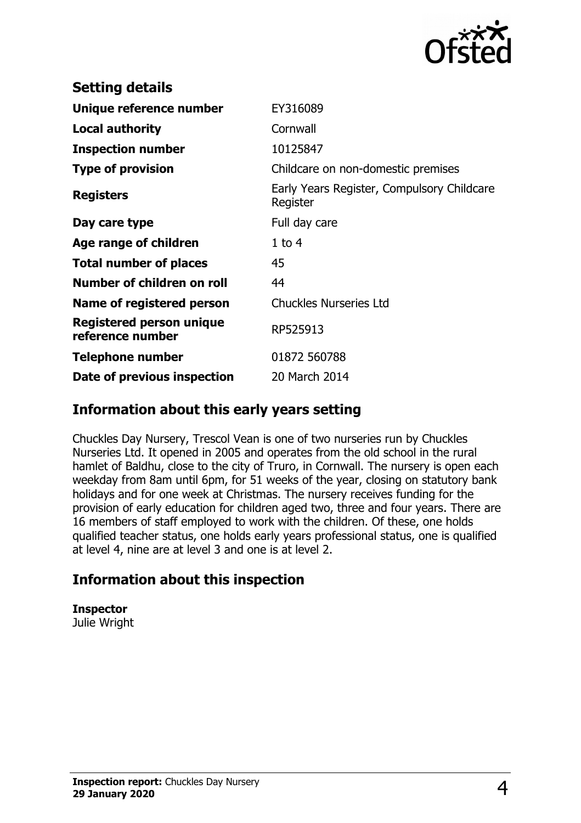

| <b>Setting details</b>                              |                                                        |
|-----------------------------------------------------|--------------------------------------------------------|
| Unique reference number                             | EY316089                                               |
| <b>Local authority</b>                              | Cornwall                                               |
| <b>Inspection number</b>                            | 10125847                                               |
| <b>Type of provision</b>                            | Childcare on non-domestic premises                     |
| <b>Registers</b>                                    | Early Years Register, Compulsory Childcare<br>Register |
| Day care type                                       | Full day care                                          |
| Age range of children                               | $1$ to $4$                                             |
| <b>Total number of places</b>                       | 45                                                     |
| Number of children on roll                          | 44                                                     |
| Name of registered person                           | <b>Chuckles Nurseries Ltd</b>                          |
| <b>Registered person unique</b><br>reference number | RP525913                                               |
| <b>Telephone number</b>                             | 01872 560788                                           |
| Date of previous inspection                         | 20 March 2014                                          |

## **Information about this early years setting**

Chuckles Day Nursery, Trescol Vean is one of two nurseries run by Chuckles Nurseries Ltd. It opened in 2005 and operates from the old school in the rural hamlet of Baldhu, close to the city of Truro, in Cornwall. The nursery is open each weekday from 8am until 6pm, for 51 weeks of the year, closing on statutory bank holidays and for one week at Christmas. The nursery receives funding for the provision of early education for children aged two, three and four years. There are 16 members of staff employed to work with the children. Of these, one holds qualified teacher status, one holds early years professional status, one is qualified at level 4, nine are at level 3 and one is at level 2.

## **Information about this inspection**

## **Inspector**

Julie Wright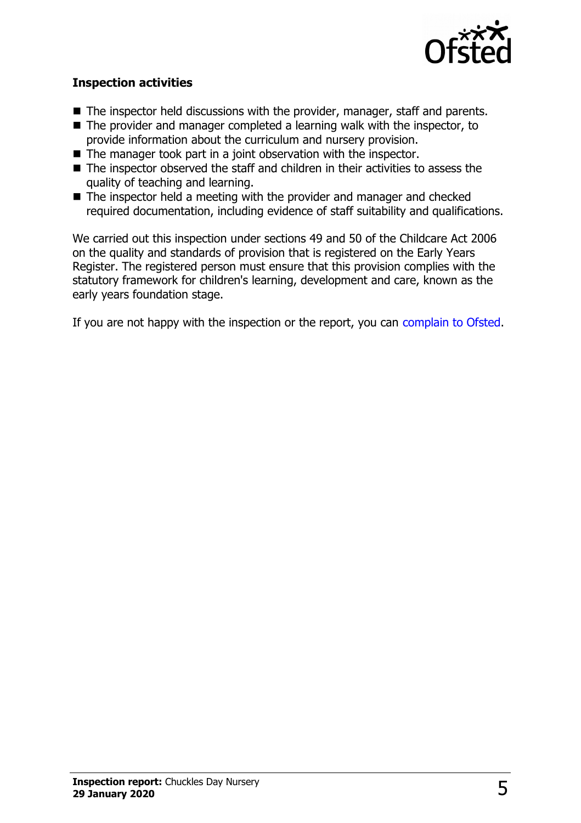

### **Inspection activities**

- $\blacksquare$  The inspector held discussions with the provider, manager, staff and parents.
- $\blacksquare$  The provider and manager completed a learning walk with the inspector, to provide information about the curriculum and nursery provision.
- $\blacksquare$  The manager took part in a joint observation with the inspector.
- $\blacksquare$  The inspector observed the staff and children in their activities to assess the quality of teaching and learning.
- $\blacksquare$  The inspector held a meeting with the provider and manager and checked required documentation, including evidence of staff suitability and qualifications.

We carried out this inspection under sections 49 and 50 of the Childcare Act 2006 on the quality and standards of provision that is registered on the Early Years Register. The registered person must ensure that this provision complies with the statutory framework for children's learning, development and care, known as the early years foundation stage.

If you are not happy with the inspection or the report, you can [complain to Ofsted.](http://www.gov.uk/complain-ofsted-report)